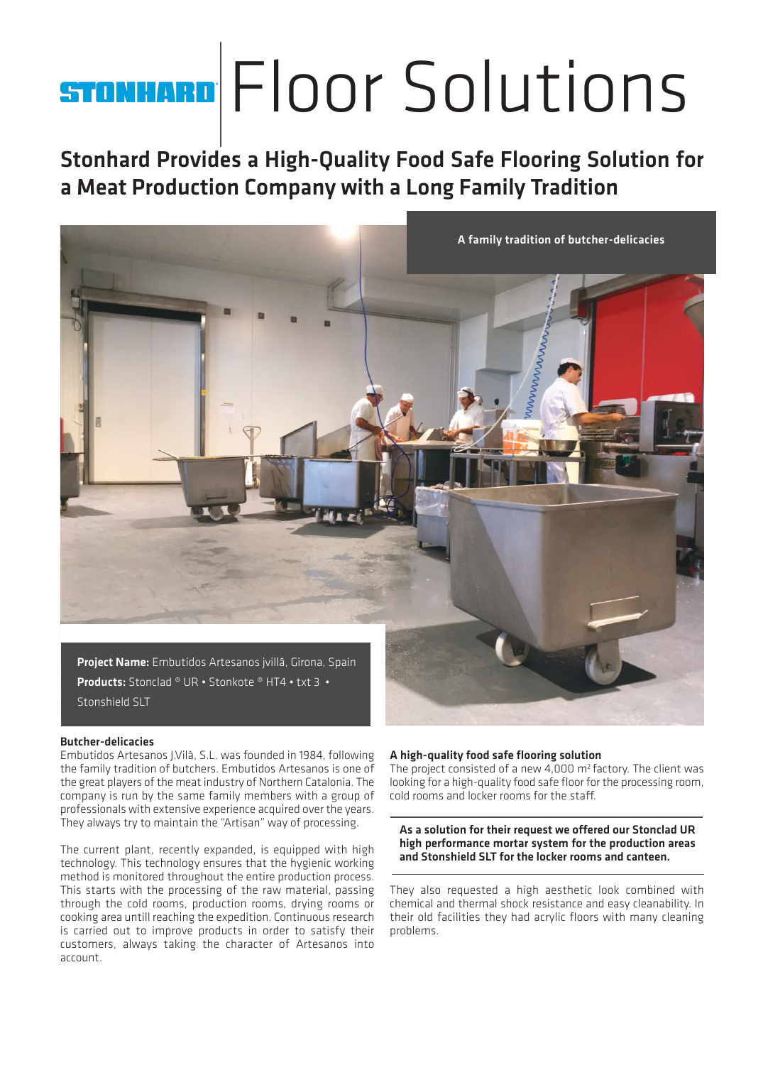## Floor Solutions

**Stonhard Provides a High-Quality Food Safe Flooring Solution for a Meat Production Company with a Long Family Tradition** 



## **Butcher-delicacies**

Embutidos Artesanos J.Vilà, S.L. was founded in 1984, following the family tradition of butchers. Embutidos Artesanos is one of the great players of the meat industry of Northern Catalonia. The company is run by the same family members with a group of professionals with extensive experience acquired over the years. They always try to maintain the "Artisan" way of processing.

The current plant, recently expanded, is equipped with high technology. This technology ensures that the hygienic working method is monitored throughout the entire production process. This starts with the processing of the raw material, passing through the cold rooms, production rooms, drying rooms or cooking area untill reaching the expedition. Continuous research is carried out to improve products in order to satisfy their customers, always taking the character of Artesanos into account.

## **A high-quality food safe flooring solution**

The project consisted of a new 4,000  $m^2$  factory. The client was looking for a high-quality food safe floor for the processing room, cold rooms and locker rooms for the staff.

**As a solution for their request we offered our Stonclad UR high performance mortar system for the production areas and Stonshield SLT for the locker rooms and canteen.**

They also requested a high aesthetic look combined with chemical and thermal shock resistance and easy cleanability. In their old facilities they had acrylic floors with many cleaning problems.